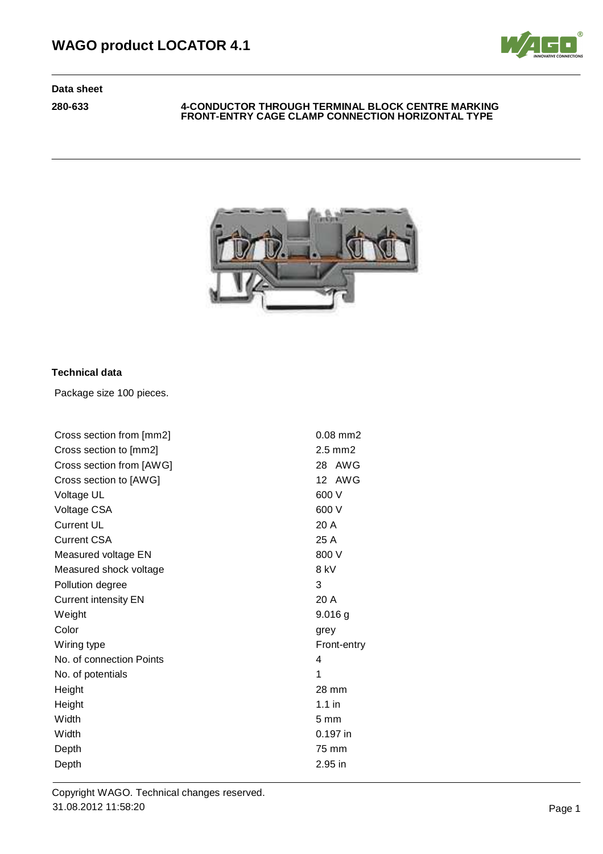

### **280-633 4-CONDUCTOR THROUGH TERMINAL BLOCK CENTRE MARKING FRONT-ENTRY CAGE CLAMP CONNECTION HORIZONTAL TYPE**



# **Technical data**

Package size 100 pieces.

| Cross section from [mm2]    | $0.08$ mm $2$   |
|-----------------------------|-----------------|
| Cross section to [mm2]      | $2.5$ mm $2$    |
| Cross section from [AWG]    | AWG<br>28       |
| Cross section to [AWG]      | 12 AWG          |
| Voltage UL                  | 600 V           |
| Voltage CSA                 | 600 V           |
| <b>Current UL</b>           | 20A             |
| <b>Current CSA</b>          | 25 A            |
| Measured voltage EN         | 800 V           |
| Measured shock voltage      | 8 kV            |
| Pollution degree            | 3               |
| <b>Current intensity EN</b> | 20 A            |
| Weight                      | $9.016$ g       |
| Color                       | grey            |
| Wiring type                 | Front-entry     |
| No. of connection Points    | 4               |
| No. of potentials           | 1               |
| Height                      | 28 mm           |
| Height                      | $1.1$ in        |
| Width                       | 5 <sub>mm</sub> |
| Width                       | 0.197 in        |
| Depth                       | 75 mm           |
| Depth                       | $2.95$ in       |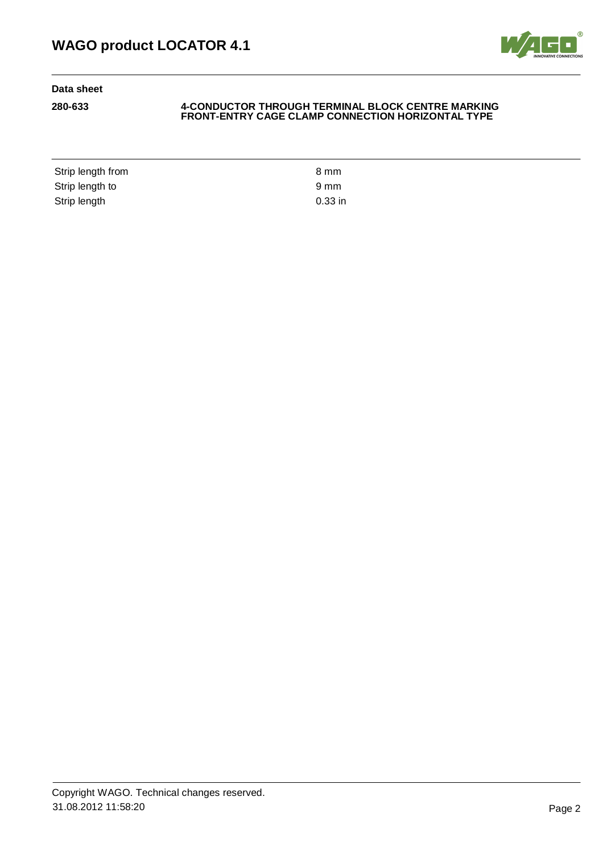

### **280-633 4-CONDUCTOR THROUGH TERMINAL BLOCK CENTRE MARKING FRONT-ENTRY CAGE CLAMP CONNECTION HORIZONTAL TYPE**

Strip length from 8 mm Strip length to 9 mm Strip length 0.33 in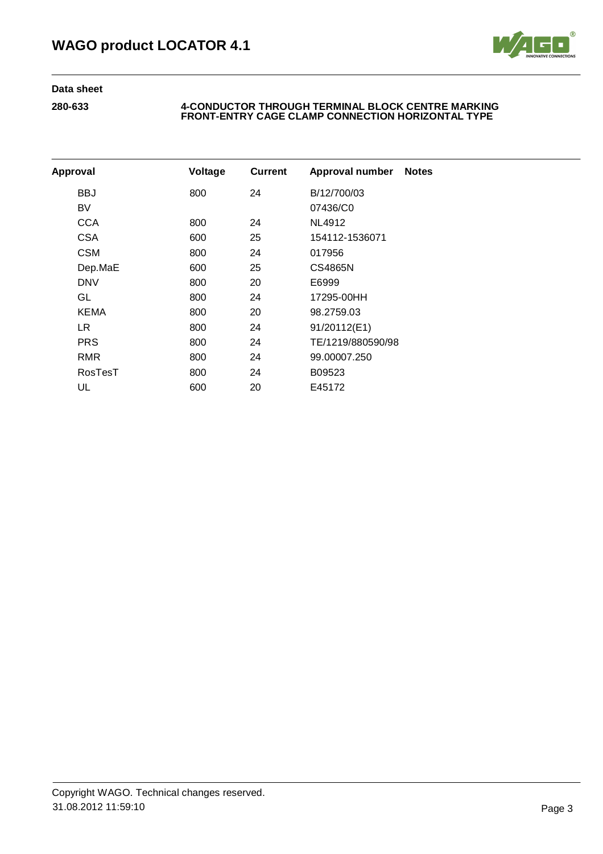

| Approval    | Voltage | <b>Current</b> | Approval number   | <b>Notes</b> |
|-------------|---------|----------------|-------------------|--------------|
| BBJ         | 800     | 24             | B/12/700/03       |              |
| BV          |         |                | 07436/C0          |              |
| <b>CCA</b>  | 800     | 24             | NL4912            |              |
| <b>CSA</b>  | 600     | 25             | 154112-1536071    |              |
| <b>CSM</b>  | 800     | 24             | 017956            |              |
| Dep.MaE     | 600     | 25             | CS4865N           |              |
| <b>DNV</b>  | 800     | 20             | E6999             |              |
| GL          | 800     | 24             | 17295-00HH        |              |
| <b>KEMA</b> | 800     | 20             | 98.2759.03        |              |
| LR.         | 800     | 24             | 91/20112(E1)      |              |
| <b>PRS</b>  | 800     | 24             | TE/1219/880590/98 |              |
| RMR         | 800     | 24             | 99.00007.250      |              |
| RosTesT     | 800     | 24             | B09523            |              |
| UL          | 600     | 20             | E45172            |              |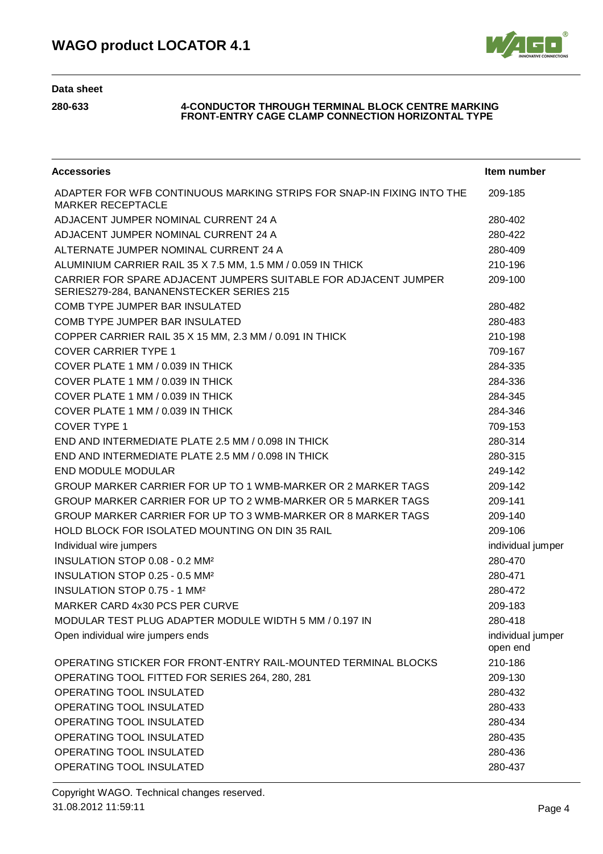

| <b>Accessories</b>                                                                                          | Item number                   |
|-------------------------------------------------------------------------------------------------------------|-------------------------------|
| ADAPTER FOR WFB CONTINUOUS MARKING STRIPS FOR SNAP-IN FIXING INTO THE<br><b>MARKER RECEPTACLE</b>           | 209-185                       |
| ADJACENT JUMPER NOMINAL CURRENT 24 A                                                                        | 280-402                       |
| ADJACENT JUMPER NOMINAL CURRENT 24 A                                                                        | 280-422                       |
| ALTERNATE JUMPER NOMINAL CURRENT 24 A                                                                       | 280-409                       |
| ALUMINIUM CARRIER RAIL 35 X 7.5 MM, 1.5 MM / 0.059 IN THICK                                                 | 210-196                       |
| CARRIER FOR SPARE ADJACENT JUMPERS SUITABLE FOR ADJACENT JUMPER<br>SERIES279-284, BANANENSTECKER SERIES 215 | 209-100                       |
| COMB TYPE JUMPER BAR INSULATED                                                                              | 280-482                       |
| COMB TYPE JUMPER BAR INSULATED                                                                              | 280-483                       |
| COPPER CARRIER RAIL 35 X 15 MM, 2.3 MM / 0.091 IN THICK                                                     | 210-198                       |
| <b>COVER CARRIER TYPE 1</b>                                                                                 | 709-167                       |
| COVER PLATE 1 MM / 0.039 IN THICK                                                                           | 284-335                       |
| COVER PLATE 1 MM / 0.039 IN THICK                                                                           | 284-336                       |
| COVER PLATE 1 MM / 0.039 IN THICK                                                                           | 284-345                       |
| COVER PLATE 1 MM / 0.039 IN THICK                                                                           | 284-346                       |
| COVER TYPE 1                                                                                                | 709-153                       |
| END AND INTERMEDIATE PLATE 2.5 MM / 0.098 IN THICK                                                          | 280-314                       |
| END AND INTERMEDIATE PLATE 2.5 MM / 0.098 IN THICK                                                          | 280-315                       |
| <b>END MODULE MODULAR</b>                                                                                   | 249-142                       |
| GROUP MARKER CARRIER FOR UP TO 1 WMB-MARKER OR 2 MARKER TAGS                                                | 209-142                       |
| GROUP MARKER CARRIER FOR UP TO 2 WMB-MARKER OR 5 MARKER TAGS                                                | 209-141                       |
| GROUP MARKER CARRIER FOR UP TO 3 WMB-MARKER OR 8 MARKER TAGS                                                | 209-140                       |
| HOLD BLOCK FOR ISOLATED MOUNTING ON DIN 35 RAIL                                                             | 209-106                       |
| Individual wire jumpers                                                                                     | individual jumper             |
| INSULATION STOP 0.08 - 0.2 MM <sup>2</sup>                                                                  | 280-470                       |
| INSULATION STOP 0.25 - 0.5 MM <sup>2</sup>                                                                  | 280-471                       |
| INSULATION STOP 0.75 - 1 MM <sup>2</sup>                                                                    | 280-472                       |
| MARKER CARD 4x30 PCS PER CURVE                                                                              | 209-183                       |
| MODULAR TEST PLUG ADAPTER MODULE WIDTH 5 MM / 0.197 IN                                                      | 280-418                       |
| Open individual wire jumpers ends                                                                           | individual jumper<br>open end |
| OPERATING STICKER FOR FRONT-ENTRY RAIL-MOUNTED TERMINAL BLOCKS                                              | 210-186                       |
| OPERATING TOOL FITTED FOR SERIES 264, 280, 281                                                              | 209-130                       |
| OPERATING TOOL INSULATED                                                                                    | 280-432                       |
| OPERATING TOOL INSULATED                                                                                    | 280-433                       |
| OPERATING TOOL INSULATED                                                                                    | 280-434                       |
| OPERATING TOOL INSULATED                                                                                    | 280-435                       |
| OPERATING TOOL INSULATED                                                                                    | 280-436                       |
| OPERATING TOOL INSULATED                                                                                    | 280-437                       |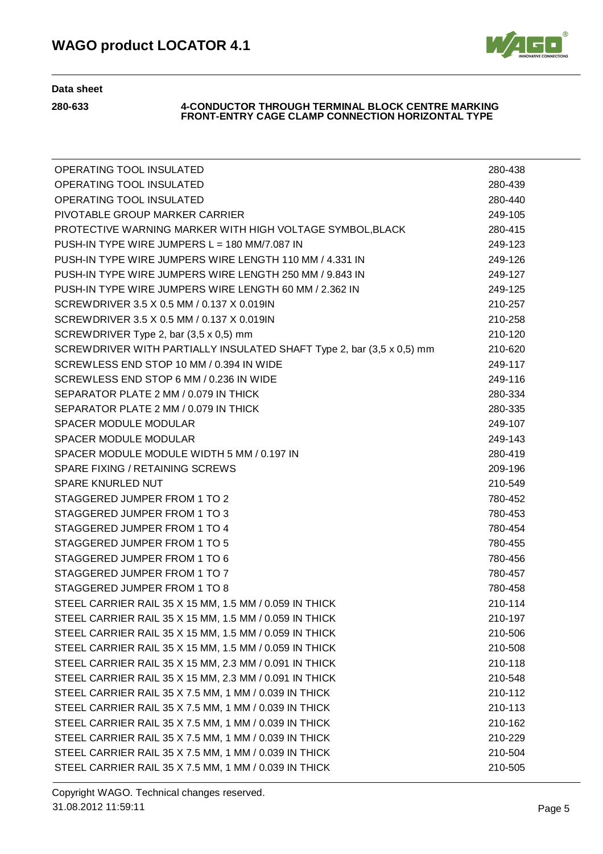

| OPERATING TOOL INSULATED                                              | 280-438 |
|-----------------------------------------------------------------------|---------|
| OPERATING TOOL INSULATED                                              | 280-439 |
| OPERATING TOOL INSULATED                                              | 280-440 |
| PIVOTABLE GROUP MARKER CARRIER                                        | 249-105 |
| PROTECTIVE WARNING MARKER WITH HIGH VOLTAGE SYMBOL, BLACK             | 280-415 |
| PUSH-IN TYPE WIRE JUMPERS L = 180 MM/7.087 IN                         | 249-123 |
| PUSH-IN TYPE WIRE JUMPERS WIRE LENGTH 110 MM / 4.331 IN               | 249-126 |
| PUSH-IN TYPE WIRE JUMPERS WIRE LENGTH 250 MM / 9.843 IN               | 249-127 |
| PUSH-IN TYPE WIRE JUMPERS WIRE LENGTH 60 MM / 2.362 IN                | 249-125 |
| SCREWDRIVER 3.5 X 0.5 MM / 0.137 X 0.019IN                            | 210-257 |
| SCREWDRIVER 3.5 X 0.5 MM / 0.137 X 0.019IN                            | 210-258 |
| SCREWDRIVER Type 2, bar (3,5 x 0,5) mm                                | 210-120 |
| SCREWDRIVER WITH PARTIALLY INSULATED SHAFT Type 2, bar (3,5 x 0,5) mm | 210-620 |
| SCREWLESS END STOP 10 MM / 0.394 IN WIDE                              | 249-117 |
| SCREWLESS END STOP 6 MM / 0.236 IN WIDE                               | 249-116 |
| SEPARATOR PLATE 2 MM / 0.079 IN THICK                                 | 280-334 |
| SEPARATOR PLATE 2 MM / 0.079 IN THICK                                 | 280-335 |
| <b>SPACER MODULE MODULAR</b>                                          | 249-107 |
| SPACER MODULE MODULAR                                                 | 249-143 |
| SPACER MODULE MODULE WIDTH 5 MM / 0.197 IN                            | 280-419 |
| SPARE FIXING / RETAINING SCREWS                                       | 209-196 |
| <b>SPARE KNURLED NUT</b>                                              | 210-549 |
| STAGGERED JUMPER FROM 1 TO 2                                          | 780-452 |
| STAGGERED JUMPER FROM 1 TO 3                                          | 780-453 |
| STAGGERED JUMPER FROM 1 TO 4                                          | 780-454 |
| STAGGERED JUMPER FROM 1 TO 5                                          | 780-455 |
| STAGGERED JUMPER FROM 1 TO 6                                          | 780-456 |
| STAGGERED JUMPER FROM 1 TO 7                                          | 780-457 |
| STAGGERED JUMPER FROM 1 TO 8                                          | 780-458 |
| STEEL CARRIER RAIL 35 X 15 MM, 1.5 MM / 0.059 IN THICK                | 210-114 |
| STEEL CARRIER RAIL 35 X 15 MM, 1.5 MM / 0.059 IN THICK                | 210-197 |
| STEEL CARRIER RAIL 35 X 15 MM, 1.5 MM / 0.059 IN THICK                | 210-506 |
| STEEL CARRIER RAIL 35 X 15 MM, 1.5 MM / 0.059 IN THICK                | 210-508 |
| STEEL CARRIER RAIL 35 X 15 MM, 2.3 MM / 0.091 IN THICK                | 210-118 |
| STEEL CARRIER RAIL 35 X 15 MM, 2.3 MM / 0.091 IN THICK                | 210-548 |
| STEEL CARRIER RAIL 35 X 7.5 MM, 1 MM / 0.039 IN THICK                 | 210-112 |
| STEEL CARRIER RAIL 35 X 7.5 MM, 1 MM / 0.039 IN THICK                 | 210-113 |
| STEEL CARRIER RAIL 35 X 7.5 MM, 1 MM / 0.039 IN THICK                 | 210-162 |
| STEEL CARRIER RAIL 35 X 7.5 MM, 1 MM / 0.039 IN THICK                 | 210-229 |
| STEEL CARRIER RAIL 35 X 7.5 MM, 1 MM / 0.039 IN THICK                 | 210-504 |
| STEEL CARRIER RAIL 35 X 7.5 MM, 1 MM / 0.039 IN THICK                 | 210-505 |
|                                                                       |         |